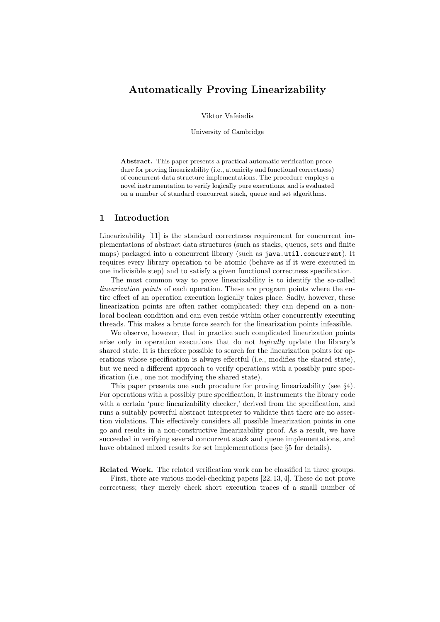# Automatically Proving Linearizability

Viktor Vafeiadis

University of Cambridge

Abstract. This paper presents a practical automatic verification procedure for proving linearizability (i.e., atomicity and functional correctness) of concurrent data structure implementations. The procedure employs a novel instrumentation to verify logically pure executions, and is evaluated on a number of standard concurrent stack, queue and set algorithms.

### 1 Introduction

Linearizability [11] is the standard correctness requirement for concurrent implementations of abstract data structures (such as stacks, queues, sets and finite maps) packaged into a concurrent library (such as java.util.concurrent). It requires every library operation to be atomic (behave as if it were executed in one indivisible step) and to satisfy a given functional correctness specification.

The most common way to prove linearizability is to identify the so-called linearization points of each operation. These are program points where the entire effect of an operation execution logically takes place. Sadly, however, these linearization points are often rather complicated: they can depend on a nonlocal boolean condition and can even reside within other concurrently executing threads. This makes a brute force search for the linearization points infeasible.

We observe, however, that in practice such complicated linearization points arise only in operation executions that do not logically update the library's shared state. It is therefore possible to search for the linearization points for operations whose specification is always effectful (i.e., modifies the shared state), but we need a different approach to verify operations with a possibly pure specification (i.e., one not modifying the shared state).

This paper presents one such procedure for proving linearizability (see §4). For operations with a possibly pure specification, it instruments the library code with a certain 'pure linearizability checker,' derived from the specification, and runs a suitably powerful abstract interpreter to validate that there are no assertion violations. This effectively considers all possible linearization points in one go and results in a non-constructive linearizability proof. As a result, we have succeeded in verifying several concurrent stack and queue implementations, and have obtained mixed results for set implementations (see §5 for details).

Related Work. The related verification work can be classified in three groups.

First, there are various model-checking papers [22, 13, 4]. These do not prove correctness; they merely check short execution traces of a small number of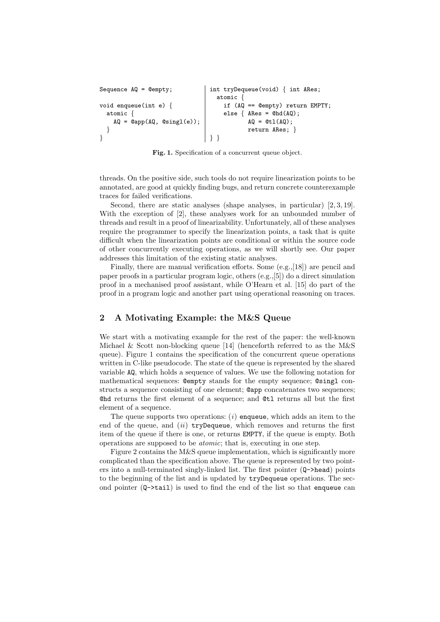```
Sequence AQ = @empty;
void enqueue(int e) {
  atomic {
    AQ = Qapp(AQ, Qsing1(e));}
}
                                     int tryDequeue(void) { int ARes;
                                       atomic {
                                         if (AQ == @empty) return EMPTY;
                                         else \{ \text{ARes} = \text{Chd}(\text{AQ}) \}:
                                                 AQ = Qt1(AQ);
                                                 return ARes; }
                                    } }
```
Fig. 1. Specification of a concurrent queue object.

threads. On the positive side, such tools do not require linearization points to be annotated, are good at quickly finding bugs, and return concrete counterexample traces for failed verifications.

Second, there are static analyses (shape analyses, in particular) [2, 3, 19]. With the exception of [2], these analyses work for an unbounded number of threads and result in a proof of linearizability. Unfortunately, all of these analyses require the programmer to specify the linearization points, a task that is quite difficult when the linearization points are conditional or within the source code of other concurrently executing operations, as we will shortly see. Our paper addresses this limitation of the existing static analyses.

Finally, there are manual verification efforts. Some (e.g.,[18]) are pencil and paper proofs in a particular program logic, others (e.g.,[5]) do a direct simulation proof in a mechanised proof assistant, while O'Hearn et al. [15] do part of the proof in a program logic and another part using operational reasoning on traces.

### 2 A Motivating Example: the M&S Queue

We start with a motivating example for the rest of the paper: the well-known Michael & Scott non-blocking queue [14] (henceforth referred to as the M&S queue). Figure 1 contains the specification of the concurrent queue operations written in C-like pseudocode. The state of the queue is represented by the shared variable AQ, which holds a sequence of values. We use the following notation for mathematical sequences: @empty stands for the empty sequence; @singl constructs a sequence consisting of one element; @app concatenates two sequences; @hd returns the first element of a sequence; and @tl returns all but the first element of a sequence.

The queue supports two operations:  $(i)$  enqueue, which adds an item to the end of the queue, and  $(ii)$  tryDequeue, which removes and returns the first item of the queue if there is one, or returns EMPTY, if the queue is empty. Both operations are supposed to be atomic; that is, executing in one step.

Figure 2 contains the M&S queue implementation, which is significantly more complicated than the specification above. The queue is represented by two pointers into a null-terminated singly-linked list. The first pointer (Q->head) points to the beginning of the list and is updated by tryDequeue operations. The second pointer (Q->tail) is used to find the end of the list so that enqueue can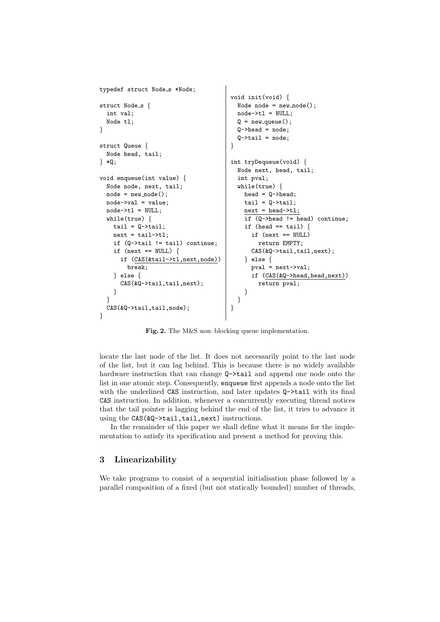```
typedef struct Node_s *Node;
struct Node_s {
  int val;
  Node tl;
}
struct Queue {
  Node head, tail;
} *Q;
void enqueue(int value) {
  Node node, next, tail;
  node = new_model():
  node->val = value;
 node->t1 = NULL;while(true) {
    tail = 0->tail;
    next = tail->=1;if (Q->tail != tail) continue;
    if (next == NULL) {
      if (CAS(&tail->tl,next,node))
        break;
    } else {
      CAS(&Q->tail,tail,next);
    }
  }
  CAS(&Q->tail,tail,node);
}
                                        void init(void) {
                                           Node node = new\_node();
                                           node->t1 = NULL;Q = new_queue();
                                           Q->head = node;
                                           0 \rightarrow \text{tail} = \text{node}:
                                         }
                                         int tryDequeue(void) {
                                           Node next, head, tail;
                                           int pval;
                                           while(true) {
                                             head = Q->head;
                                             tail = 0->tail:
                                             next = head->tl;if (Q->head != head) continue;
                                             if (head == tail) {
                                               if (next == NULL)
                                                 return EMPTY;
                                               CAS(&Q->tail,tail,next);
                                             } else {
                                               pval = next->val;
                                               if (CAS(&Q->head,head,next))
                                                 return pval;
                                             }
                                           }
                                         }
```
Fig. 2. The M&S non–blocking queue implementation.

locate the last node of the list. It does not necessarily point to the last node of the list, but it can lag behind. This is because there is no widely available hardware instruction that can change  $Q$ - $\rightarrow$ tail and append one node onto the list in one atomic step. Consequently, enqueue first appends a node onto the list with the underlined CAS instruction, and later updates  $Q$ ->tail with its final CAS instruction. In addition, whenever a concurrently executing thread notices that the tail pointer is lagging behind the end of the list, it tries to advance it using the CAS(&Q->tail,tail,next) instructions.

In the remainder of this paper we shall define what it means for the implementation to satisfy its specification and present a method for proving this.

## 3 Linearizability

We take programs to consist of a sequential initialisation phase followed by a parallel composition of a fixed (but not statically bounded) number of threads,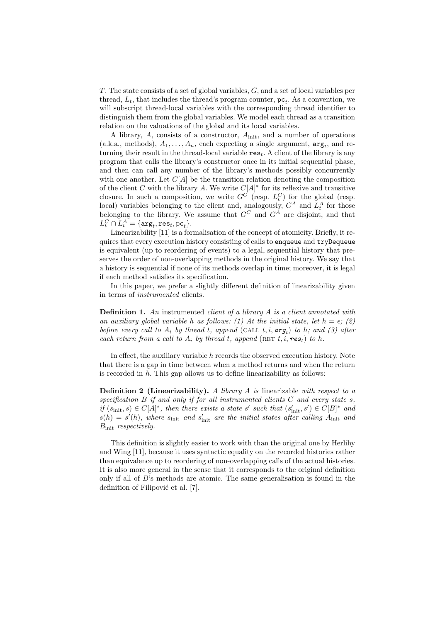T. The state consists of a set of global variables, G, and a set of local variables per thread,  $L_t$ , that includes the thread's program counter,  $pc_t$ . As a convention, we will subscript thread-local variables with the corresponding thread identifier to distinguish them from the global variables. We model each thread as a transition relation on the valuations of the global and its local variables.

A library,  $A$ , consists of a constructor,  $A<sub>init</sub>$ , and a number of operations (a.k.a., methods),  $A_1, \ldots, A_n$ , each expecting a single argument,  $arg_t$ , and returning their result in the thread-local variable res*t*. A client of the library is any program that calls the library's constructor once in its initial sequential phase, and then can call any number of the library's methods possibly concurrently with one another. Let  $C[A]$  be the transition relation denoting the composition of the client C with the library A. We write  $C[A]^*$  for its reflexive and transitive closure. In such a composition, we write  $G^C$  (resp.  $L_t^C$ ) for the global (resp. local) variables belonging to the client and, analogously,  $G^A$  and  $L_t^A$  for those belonging to the library. We assume that  $G^C$  and  $G^A$  are disjoint, and that  $L_t^C \cap L_t^A = \{\texttt{arg}_t, \texttt{res}_t, \texttt{pc}_t\}.$ 

Linearizability [11] is a formalisation of the concept of atomicity. Briefly, it requires that every execution history consisting of calls to enqueue and tryDequeue is equivalent (up to reordering of events) to a legal, sequential history that preserves the order of non-overlapping methods in the original history. We say that a history is sequential if none of its methods overlap in time; moreover, it is legal if each method satisfies its specification.

In this paper, we prefer a slightly different definition of linearizability given in terms of instrumented clients.

Definition 1. An instrumented client of a library A is a client annotated with an auxiliary global variable h as follows: (1) At the initial state, let  $h = \epsilon$ ; (2) before every call to  $A_i$  by thread t, append (CALL t, *i*,  $arg_i$ ) to h; and (3) after each return from a call to  $A_i$  by thread t, append (RET t, i, res<sub>t</sub>) to h.

In effect, the auxiliary variable h records the observed execution history. Note that there is a gap in time between when a method returns and when the return is recorded in  $h$ . This gap allows us to define linearizability as follows:

**Definition 2 (Linearizability).** A library A is linearizable with respect to a specification  $B$  if and only if for all instrumented clients  $C$  and every state  $s$ ,  $if (s_{\text{init}}, s) \in C[A]^*$ , then there exists a state s' such that  $(s'_{\text{init}}, s') \in C[B]^*$  and  $s(h) = s'(h)$ , where  $s_{\text{init}}$  and  $s'_{\text{init}}$  are the initial states after calling  $A_{\text{init}}$  and  $B_{\text{init}}$  respectively.

This definition is slightly easier to work with than the original one by Herlihy and Wing [11], because it uses syntactic equality on the recorded histories rather than equivalence up to reordering of non-overlapping calls of the actual histories. It is also more general in the sense that it corresponds to the original definition only if all of  $B$ 's methods are atomic. The same generalisation is found in the definition of Filipović et al. [7].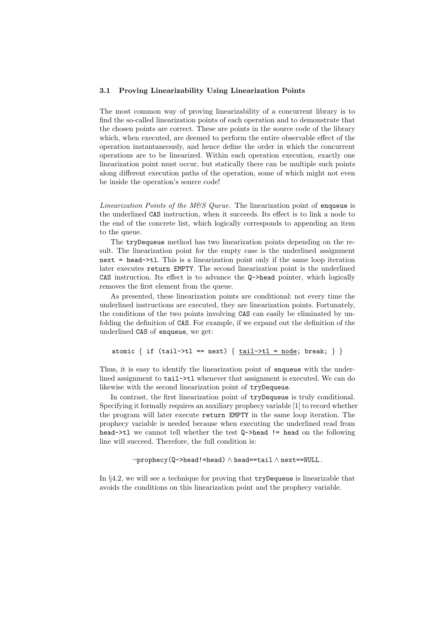### 3.1 Proving Linearizability Using Linearization Points

The most common way of proving linearizability of a concurrent library is to find the so-called linearization points of each operation and to demonstrate that the chosen points are correct. These are points in the source code of the library which, when executed, are deemed to perform the entire observable effect of the operation instantaneously, and hence define the order in which the concurrent operations are to be linearized. Within each operation execution, exactly one linearization point must occur, but statically there can be multiple such points along different execution paths of the operation, some of which might not even be inside the operation's source code!

Linearization Points of the M&S Queue. The linearization point of enqueue is the underlined CAS instruction, when it succeeds. Its effect is to link a node to the end of the concrete list, which logically corresponds to appending an item to the queue.

The tryDequeue method has two linearization points depending on the result. The linearization point for the empty case is the underlined assignment next = head->tl. This is a linearization point only if the same loop iteration later executes return EMPTY. The second linearization point is the underlined CAS instruction. Its effect is to advance the Q->head pointer, which logically removes the first element from the queue.

As presented, these linearization points are conditional: not every time the underlined instructions are executed, they are linearization points. Fortunately, the conditions of the two points involving CAS can easily be eliminated by unfolding the definition of CAS. For example, if we expand out the definition of the underlined CAS of enqueue, we get:

```
atomic \{ \text{if } (\text{tail} \rightarrow \text{tl} == \text{next}) \{ \text{tail} \rightarrow \text{tl} == \text{node}; \text{break}; \} \}
```
Thus, it is easy to identify the linearization point of enqueue with the underlined assignment to  $tail$ ->tl whenever that assignment is executed. We can do likewise with the second linearization point of tryDequeue.

In contrast, the first linearization point of tryDequeue is truly conditional. Specifying it formally requires an auxiliary prophecy variable [1] to record whether the program will later execute return EMPTY in the same loop iteration. The prophecy variable is needed because when executing the underlined read from head->tl we cannot tell whether the test Q->head != head on the following line will succeed. Therefore, the full condition is:

```
¬prophecy(Q->head!=head) ∧ head==tail ∧ next==NULL .
```
In §4.2, we will see a technique for proving that tryDequeue is linearizable that avoids the conditions on this linearization point and the prophecy variable.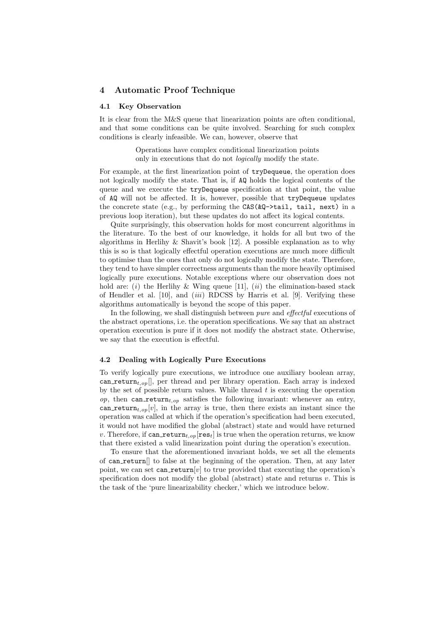### 4 Automatic Proof Technique

#### 4.1 Key Observation

It is clear from the M&S queue that linearization points are often conditional, and that some conditions can be quite involved. Searching for such complex conditions is clearly infeasible. We can, however, observe that

> Operations have complex conditional linearization points only in executions that do not logically modify the state.

For example, at the first linearization point of tryDequeue, the operation does not logically modify the state. That is, if AQ holds the logical contents of the queue and we execute the tryDequeue specification at that point, the value of AQ will not be affected. It is, however, possible that tryDequeue updates the concrete state (e.g., by performing the  $CAS({\&Q}\rightarrow\text{tail}, \text{tail}, \text{next})$  in a previous loop iteration), but these updates do not affect its logical contents.

Quite surprisingly, this observation holds for most concurrent algorithms in the literature. To the best of our knowledge, it holds for all but two of the algorithms in Herlihy & Shavit's book [12]. A possible explanation as to why this is so is that logically effectful operation executions are much more difficult to optimise than the ones that only do not logically modify the state. Therefore, they tend to have simpler correctness arguments than the more heavily optimised logically pure executions. Notable exceptions where our observation does not hold are: (i) the Herlihy & Wing queue [11], (ii) the elimination-based stack of Hendler et al. [10], and (iii) RDCSS by Harris et al. [9]. Verifying these algorithms automatically is beyond the scope of this paper.

In the following, we shall distinguish between *pure* and *effectful* executions of the abstract operations, i.e. the operation specifications. We say that an abstract operation execution is pure if it does not modify the abstract state. Otherwise, we say that the execution is effectful.

#### 4.2 Dealing with Logically Pure Executions

To verify logically pure executions, we introduce one auxiliary boolean array, can return<sub>t,*op*</sub>[], per thread and per library operation. Each array is indexed by the set of possible return values. While thread  $t$  is executing the operation  $op$ , then can return<sub>t, op</sub> satisfies the following invariant: whenever an entry, can return<sub>t, op</sub> $[v]$ , in the array is true, then there exists an instant since the operation was called at which if the operation's specification had been executed, it would not have modified the global (abstract) state and would have returned v. Therefore, if can return<sub>t, op</sub>  $[\text{res}_t]$  is true when the operation returns, we know that there existed a valid linearization point during the operation's execution.

To ensure that the aforementioned invariant holds, we set all the elements of can return[] to false at the beginning of the operation. Then, at any later point, we can set can return[v] to true provided that executing the operation's specification does not modify the global (abstract) state and returns  $v$ . This is the task of the 'pure linearizability checker,' which we introduce below.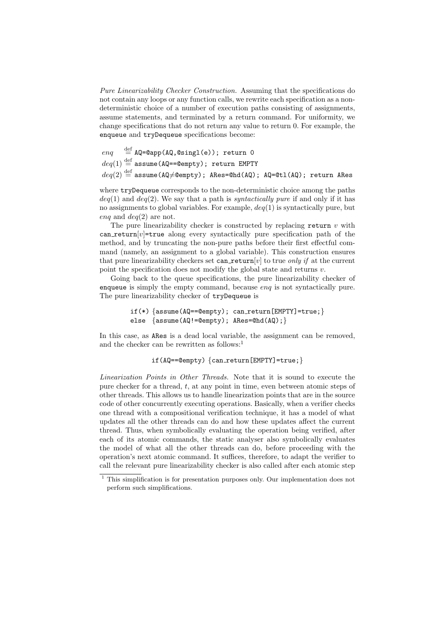Pure Linearizability Checker Construction. Assuming that the specifications do not contain any loops or any function calls, we rewrite each specification as a nondeterministic choice of a number of execution paths consisting of assignments, assume statements, and terminated by a return command. For uniformity, we change specifications that do not return any value to return 0. For example, the enqueue and tryDequeue specifications become:

```
ena
          \stackrel{\text{def}}{=} AQ=@app(AQ,@singl(e)); return 0
deg(1) \stackrel{\rm def}{=} assume(AQ==@empty); return EMPTY
deg(2) \stackrel{{\mathrm {def}}}{=} \mathtt{assume}(\mathtt{AQ} \neq \mathtt{Qempty}); ARes=@hd(AQ); AQ=@tl(AQ); return ARes
```
where  $\texttt{trvDequeue}$  corresponds to the non-deterministic choice among the paths  $deg(1)$  and  $deg(2)$ . We say that a path is *syntactically pure* if and only if it has no assignments to global variables. For example,  $deg(1)$  is syntactically pure, but eng and  $deq(2)$  are not.

The pure linearizability checker is constructed by replacing return  $v$  with  $\text{can}_r$  return $[v]$ =true along every syntactically pure specification path of the method, and by truncating the non-pure paths before their first effectful command (namely, an assignment to a global variable). This construction ensures that pure linearizability checkers set can return[v] to true *only if* at the current point the specification does not modify the global state and returns v.

Going back to the queue specifications, the pure linearizability checker of enqueue is simply the empty command, because *enq* is not syntactically pure. The pure linearizability checker of tryDequeue is

> if(\*)  $\{ \text{assume}(AQ == @empty); \text{ can} \text{return}[EMPTY] = true; \}$ else  $\{ \text{assume}(AQ) = \text{empty}); \text{ ARes} = \text{Qhd}(AQ); \}$

In this case, as ARes is a dead local variable, the assignment can be removed, and the checker can be rewritten as follows:<sup>1</sup>

```
if(AQ==@empty) {can return[EMPTY]=true;}
```
Linearization Points in Other Threads. Note that it is sound to execute the pure checker for a thread, t, at any point in time, even between atomic steps of other threads. This allows us to handle linearization points that are in the source code of other concurrently executing operations. Basically, when a verifier checks one thread with a compositional verification technique, it has a model of what updates all the other threads can do and how these updates affect the current thread. Thus, when symbolically evaluating the operation being verified, after each of its atomic commands, the static analyser also symbolically evaluates the model of what all the other threads can do, before proceeding with the operation's next atomic command. It suffices, therefore, to adapt the verifier to call the relevant pure linearizability checker is also called after each atomic step

<sup>&</sup>lt;sup>1</sup> This simplification is for presentation purposes only. Our implementation does not perform such simplifications.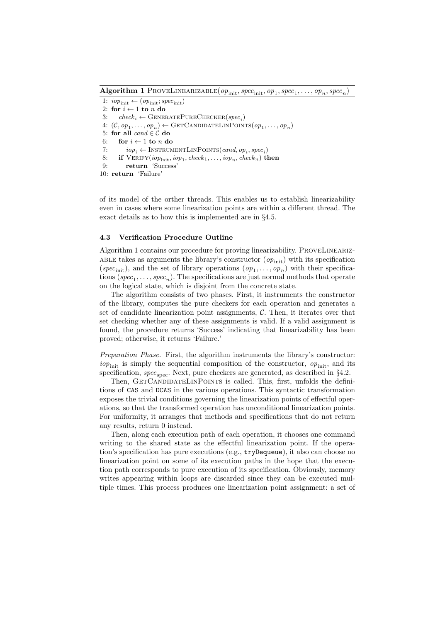Algorithm 1 PROVELINEARIZABLE( $op_{init}$ ,  $spec_{init}$ ,  $op_1$ ,  $spec_1$ , ...,  $op_n$ ,  $spec_n$ )

```
1: iop_{\text{init}} \leftarrow (op_{\text{init}}; spec_{\text{init}})2: for i \leftarrow 1 to n do<br>3: check<sub>i</sub>\leftarrow GENE
            check_i \leftarrow GENERATEPURECHECKER(spec_i)
 4: (\mathcal{C}, op_1, \ldots, op_n) \leftarrow \text{GETCANDIDATELINPOINTS}(op_1, \ldots, op_n)5: for all cand ∈ C do<br>6: for i \leftarrow 1 to n de
 6: for i \leftarrow 1 to n do<br>7: ion \leftarrow \text{INSTRUN}7: i \circ p_i \leftarrow \text{InstrumentLINPONTS}(cand, op_i, spec_i)<br>8: if \text{VERIFY}(iop_{i-1}, iop_1, check_1, \ldots, iop_n, check_n) t
 8: if VERIFY(iop_{init}, iop_1, check_1, \ldots, iop_n, check_n) then<br>9. return 'Success'
                return 'Success'
10: return 'Failure'
```
of its model of the orther threads. This enables us to establish linearizability even in cases where some linearization points are within a different thread. The exact details as to how this is implemented are in §4.5.

#### 4.3 Verification Procedure Outline

Algorithm 1 contains our procedure for proving linearizability. ProveLineariz-ABLE takes as arguments the library's constructor  $(op_{init})$  with its specification (spec<sub>init</sub>), and the set of library operations  $(op_1, \ldots, op_n)$  with their specifications ( $spec_1, \ldots, spec_n$ ). The specifications are just normal methods that operate on the logical state, which is disjoint from the concrete state.

The algorithm consists of two phases. First, it instruments the constructor of the library, computes the pure checkers for each operation and generates a set of candidate linearization point assignments,  $C$ . Then, it iterates over that set checking whether any of these assignments is valid. If a valid assignment is found, the procedure returns 'Success' indicating that linearizability has been proved; otherwise, it returns 'Failure.'

Preparation Phase. First, the algorithm instruments the library's constructor:  $i \in p_{\text{init}}$  is simply the sequential composition of the constructor,  $o p_{\text{init}}$ , and its specification,  $spec_{\text{spec}}$ . Next, pure checkers are generated, as described in §4.2.

Then, GETCANDIDATELINPOINTS is called. This, first, unfolds the definitions of CAS and DCAS in the various operations. This syntactic transformation exposes the trivial conditions governing the linearization points of effectful operations, so that the transformed operation has unconditional linearization points. For uniformity, it arranges that methods and specifications that do not return any results, return 0 instead.

Then, along each execution path of each operation, it chooses one command writing to the shared state as the effectful linearization point. If the operation's specification has pure executions (e.g., tryDequeue), it also can choose no linearization point on some of its execution paths in the hope that the execution path corresponds to pure execution of its specification. Obviously, memory writes appearing within loops are discarded since they can be executed multiple times. This process produces one linearization point assignment: a set of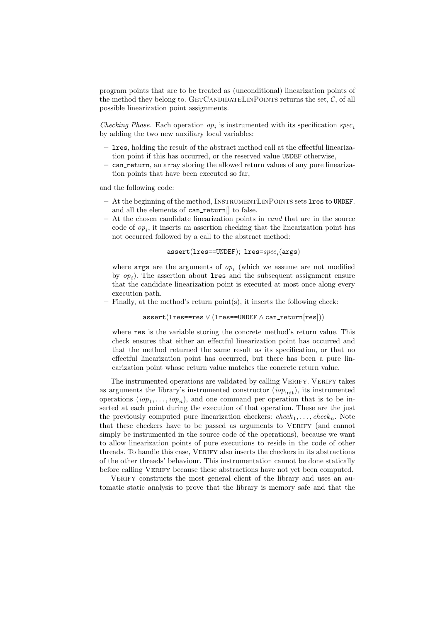program points that are to be treated as (unconditional) linearization points of the method they belong to. GETCANDIDATELINPOINTS returns the set,  $C$ , of all possible linearization point assignments.

Checking Phase. Each operation  $op_i$  is instrumented with its specification  $spec_i$ by adding the two new auxiliary local variables:

- lres, holding the result of the abstract method call at the effectful linearization point if this has occurred, or the reserved value UNDEF otherwise,
- can return, an array storing the allowed return values of any pure linearization points that have been executed so far,

and the following code:

- At the beginning of the method, InstrumentLinPoints sets lres to UNDEF. and all the elements of can\_return[] to false.
- $-$  At the chosen candidate linearization points in *cand* that are in the source code of op*i*, it inserts an assertion checking that the linearization point has not occurred followed by a call to the abstract method:

```
assert(lres==UNDEF); lres=speci(args)
```
where **args** are the arguments of  $op_i$  (which we assume are not modified by  $op<sub>i</sub>$ ). The assertion about lres and the subsequent assignment ensure that the candidate linearization point is executed at most once along every execution path.

– Finally, at the method's return point(s), it inserts the following check:

```
assert(1res=res \vee (1res==UNDEF \wedge can_return[res]))
```
where res is the variable storing the concrete method's return value. This check ensures that either an effectful linearization point has occurred and that the method returned the same result as its specification, or that no effectful linearization point has occurred, but there has been a pure linearization point whose return value matches the concrete return value.

The instrumented operations are validated by calling VERIFY. VERIFY takes as arguments the library's instrumented constructor  $(iop<sub>init</sub>)$ , its instrumented operations  $(i\omega p_1, \ldots, i\omega p_n)$ , and one command per operation that is to be inserted at each point during the execution of that operation. These are the just the previously computed pure linearization checkers:  $check_1, \ldots, check_n$ . Note that these checkers have to be passed as arguments to VERIFY (and cannot simply be instrumented in the source code of the operations), because we want to allow linearization points of pure executions to reside in the code of other threads. To handle this case, VERIFY also inserts the checkers in its abstractions of the other threads' behaviour. This instrumentation cannot be done statically before calling VERIFY because these abstractions have not yet been computed.

VERIFY constructs the most general client of the library and uses an automatic static analysis to prove that the library is memory safe and that the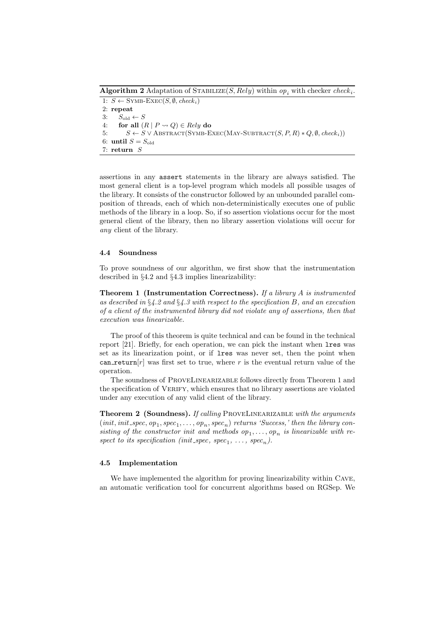Algorithm 2 Adaptation of STABILIZE $(S, Rely)$  within  $op_i$  with checker check<sub>i</sub>.

1: *S* ← Symb-Exec(*S,* ∅*, checki*) 2: repeat 3:  $S_{old} \leftarrow S$ <br>4. **for all** *()* 4: for all  $(R | P \rightsquigarrow Q) \in \text{Rely do}$ <br>5:  $S \leftarrow S \vee \text{ABSTRACT(SYMB-E)}$  $S \leftarrow S \vee \text{ABSTRACT}(\text{SYMB-EXEC}(\text{MAY-SUBTRACT}(S, P, R) * Q, \emptyset, check_i))$ 6: until  $S = S_{old}$ 7: return *S*

assertions in any assert statements in the library are always satisfied. The most general client is a top-level program which models all possible usages of the library. It consists of the constructor followed by an unbounded parallel composition of threads, each of which non-deterministically executes one of public methods of the library in a loop. So, if so assertion violations occur for the most general client of the library, then no library assertion violations will occur for any client of the library.

#### 4.4 Soundness

To prove soundness of our algorithm, we first show that the instrumentation described in §4.2 and §4.3 implies linearizability:

**Theorem 1 (Instrumentation Correctness).** If a library  $A$  is instrumented as described in  $\S4.2$  and  $\S4.3$  with respect to the specification B, and an execution of a client of the instrumented library did not violate any of assertions, then that execution was linearizable.

The proof of this theorem is quite technical and can be found in the technical report [21]. Briefly, for each operation, we can pick the instant when lres was set as its linearization point, or if lres was never set, then the point when can return $[r]$  was first set to true, where r is the eventual return value of the operation.

The soundness of ProveLinearizable follows directly from Theorem 1 and the specification of VERIFY, which ensures that no library assertions are violated under any execution of any valid client of the library.

Theorem 2 (Soundness). If calling PROVELINEARIZABLE with the arguments  $(int, init\_spec, op_1, spec_1, \ldots, op_n, spec_n)$  returns 'Success,' then the library consisting of the constructor init and methods  $op_1, \ldots, op_n$  is linearizable with respect to its specification (init\_spec,  $spec_1, \ldots, spec_n$ ).

#### 4.5 Implementation

We have implemented the algorithm for proving linearizability within Cave, an automatic verification tool for concurrent algorithms based on RGSep. We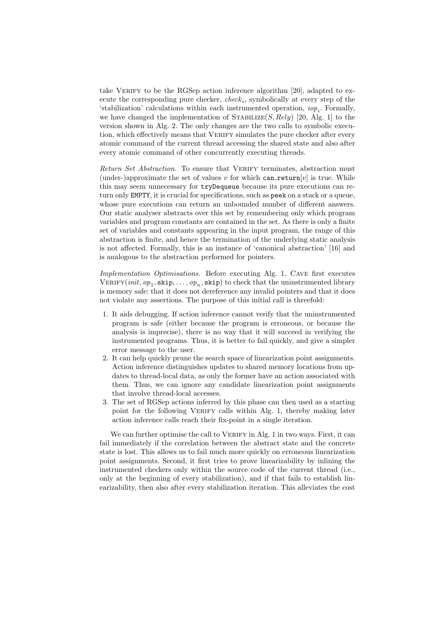take VERIFY to be the RGSep action inference algorithm [20], adapted to execute the corresponding pure checker, check*i*, symbolically at every step of the 'stabilization' calculations within each instrumented operation, iop*i*. Formally, we have changed the implementation of  $STABILITY(E, Rely)$  [20, Alg. 1] to the version shown in Alg. 2. The only changes are the two calls to symbolic execution, which effectively means that VERIFY simulates the pure checker after every atomic command of the current thread accessing the shared state and also after every atomic command of other concurrently executing threads.

Return Set Abstraction. To ensure that VERIFY terminates, abstraction must (under-)approximate the set of values v for which can return[v] is true. While this may seem unnecessary for tryDequeue because its pure executions can return only EMPTY, it is crucial for specifications, such as peek on a stack or a queue, whose pure executions can return an unbounded number of different answers. Our static analyser abstracts over this set by remembering only which program variables and program constants are contained in the set. As there is only a finite set of variables and constants appearing in the input program, the range of this abstraction is finite, and hence the termination of the underlying static analysis is not affected. Formally, this is an instance of 'canonical abstraction' [16] and is analogous to the abstraction performed for pointers.

Implementation Optimisations. Before executing Alg. 1, Cave first executes VERIFY(*init*,  $op_1$ , skip,...,  $op_n$ , skip) to check that the uninstrumented library is memory safe: that it does not dereference any invalid pointers and that it does not violate any assertions. The purpose of this initial call is threefold:

- 1. It aids debugging. If action inference cannot verify that the uninstrumented program is safe (either because the program is erroneous, or because the analysis is imprecise), there is no way that it will succeed in verifying the instrumented programs. Thus, it is better to fail quickly, and give a simpler error message to the user.
- 2. It can help quickly prune the search space of linearization point assignments. Action inference distinguishes updates to shared memory locations from updates to thread-local data, as only the former have an action associated with them. Thus, we can ignore any candidate linearization point assignments that involve thread-local accesses.
- 3. The set of RGSep actions inferred by this phase can then used as a starting point for the following VERIFY calls within Alg. 1, thereby making later action inference calls reach their fix-point in a single iteration.

We can further optimise the call to VERIFY in Alg. 1 in two ways. First, it can fail immediately if the correlation between the abstract state and the concrete state is lost. This allows us to fail much more quickly on erroneous linearization point assignments. Second, it first tries to prove linearizability by inlining the instrumented checkers only within the source code of the current thread (i.e., only at the beginning of every stabilization), and if that fails to establish linearizability, then also after every stabilization iteration. This alleviates the cost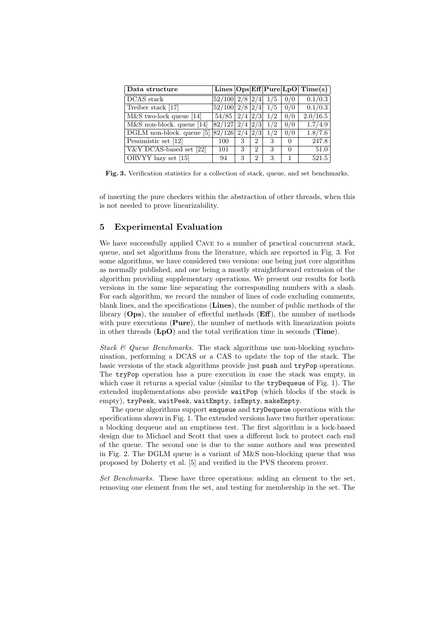| Data structure                               |                                                 |   |                |     |              | Lines $\overline{\text{Ops}}$ Eff $\overline{\text{Pure}}$ LpO $\overline{\text{Time}}$ (s) |
|----------------------------------------------|-------------------------------------------------|---|----------------|-----|--------------|---------------------------------------------------------------------------------------------|
| DCAS stack                                   | $52/100$ $2/8$ $2/4$ $1/5$                      |   |                |     | 0/0          | 0.1/0.3                                                                                     |
| Treiber stack [17]                           | $52/100$ $\sqrt{2/8}$ $\sqrt{2/4}$ $\sqrt{1/5}$ |   |                |     | 0/0          | 0.1/0.3                                                                                     |
| $M&S$ two-lock queue [14]                    | $54/85$   $2/4$   $2/3$   $1/2$                 |   |                |     | 0/0          | 2.0/16.5                                                                                    |
| $M&S$ non-block. queue [14]                  | $82/127$ $2/4$ $2/3$                            |   |                | 1/2 | 0/0          | 1.7/4.9                                                                                     |
| DGLM non-block. queue [5] $ 82/126 2/4 2/3 $ |                                                 |   |                | 1/2 | 0/0          | 1.8/7.6                                                                                     |
| Pessimistic set $[12]$                       | 100                                             | 3 | $\overline{2}$ | 3   | $\left($     | 247.8                                                                                       |
| $V&Y DCAS$ -based set [22]                   | 101                                             | 3 | $\overline{2}$ | 3   | $\Omega$     | 51.0                                                                                        |
| ORVYY lazy set [15]                          | 94                                              | 3 | $\overline{2}$ | 3   | $\mathbf{1}$ | 521.5                                                                                       |

Fig. 3. Verification statistics for a collection of stack, queue, and set benchmarks.

of inserting the pure checkers within the abstraction of other threads, when this is not needed to prove linearizability.

# 5 Experimental Evaluation

We have successfully applied Cave to a number of practical concurrent stack, queue, and set algorithms from the literature, which are reported in Fig. 3. For some algorithms, we have considered two versions: one being just core algorithm as normally published, and one being a mostly straightforward extension of the algorithm providing supplementary operations. We present our results for both versions in the same line separating the corresponding numbers with a slash. For each algorithm, we record the number of lines of code excluding comments, blank lines, and the specifications (Lines), the number of public methods of the library (Ops), the number of effectful methods (Eff), the number of methods with pure executions  $(Pure)$ , the number of methods with linearization points in other threads (LpO) and the total verification time in seconds (Time).

Stack  $\mathcal{B}$  Queue Benchmarks. The stack algorithms use non-blocking synchronisation, performing a DCAS or a CAS to update the top of the stack. The basic versions of the stack algorithms provide just push and tryPop operations. The tryPop operation has a pure execution in case the stack was empty, in which case it returns a special value (similar to the  $tryD$ equeue of Fig. 1). The extended implementations also provide waitPop (which blocks if the stack is empty), tryPeek, waitPeek, waitEmpty, isEmpty, makeEmpty.

The queue algorithms support enqueue and tryDequeue operations with the specifications shown in Fig. 1. The extended versions have two further operations: a blocking dequeue and an emptiness test. The first algorithm is a lock-based design due to Michael and Scott that uses a different lock to protect each end of the queue. The second one is due to the same authors and was presented in Fig. 2. The DGLM queue is a variant of M&S non-blocking queue that was proposed by Doherty et al. [5] and verified in the PVS theorem prover.

Set Benchmarks. These have three operations: adding an element to the set, removing one element from the set, and testing for membership in the set. The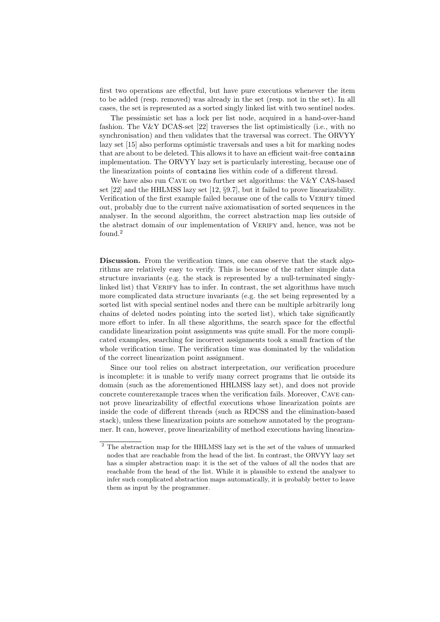first two operations are effectful, but have pure executions whenever the item to be added (resp. removed) was already in the set (resp. not in the set). In all cases, the set is represented as a sorted singly linked list with two sentinel nodes.

The pessimistic set has a lock per list node, acquired in a hand-over-hand fashion. The V&Y DCAS-set [22] traverses the list optimistically (i.e., with no synchronisation) and then validates that the traversal was correct. The ORVYY lazy set [15] also performs optimistic traversals and uses a bit for marking nodes that are about to be deleted. This allows it to have an efficient wait-free contains implementation. The ORVYY lazy set is particularly interesting, because one of the linearization points of contains lies within code of a different thread.

We have also run Cave on two further set algorithms: the V&Y CAS-based set [22] and the HHLMSS lazy set [12, §9.7], but it failed to prove linearizability. Verification of the first example failed because one of the calls to VERIFY timed out, probably due to the current na¨ıve axiomatisation of sorted sequences in the analyser. In the second algorithm, the correct abstraction map lies outside of the abstract domain of our implementation of VERIFY and, hence, was not be found.<sup>2</sup>

Discussion. From the verification times, one can observe that the stack algorithms are relatively easy to verify. This is because of the rather simple data structure invariants (e.g. the stack is represented by a null-terminated singlylinked list) that VERIFY has to infer. In contrast, the set algorithms have much more complicated data structure invariants (e.g. the set being represented by a sorted list with special sentinel nodes and there can be multiple arbitrarily long chains of deleted nodes pointing into the sorted list), which take significantly more effort to infer. In all these algorithms, the search space for the effectful candidate linearization point assignments was quite small. For the more complicated examples, searching for incorrect assignments took a small fraction of the whole verification time. The verification time was dominated by the validation of the correct linearization point assignment.

Since our tool relies on abstract interpretation, our verification procedure is incomplete: it is unable to verify many correct programs that lie outside its domain (such as the aforementioned HHLMSS lazy set), and does not provide concrete counterexample traces when the verification fails. Moreover, Cave cannot prove linearizability of effectful executions whose linearization points are inside the code of different threads (such as RDCSS and the elimination-based stack), unless these linearization points are somehow annotated by the programmer. It can, however, prove linearizability of method executions having lineariza-

<sup>&</sup>lt;sup>2</sup> The abstraction map for the HHLMSS lazy set is the set of the values of unmarked nodes that are reachable from the head of the list. In contrast, the ORVYY lazy set has a simpler abstraction map: it is the set of the values of all the nodes that are reachable from the head of the list. While it is plausible to extend the analyser to infer such complicated abstraction maps automatically, it is probably better to leave them as input by the programmer.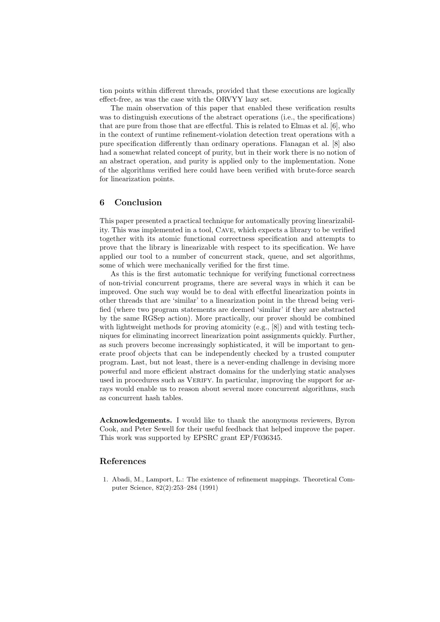tion points within different threads, provided that these executions are logically effect-free, as was the case with the ORVYY lazy set.

The main observation of this paper that enabled these verification results was to distinguish executions of the abstract operations (i.e., the specifications) that are pure from those that are effectful. This is related to Elmas et al. [6], who in the context of runtime refinement-violation detection treat operations with a pure specification differently than ordinary operations. Flanagan et al. [8] also had a somewhat related concept of purity, but in their work there is no notion of an abstract operation, and purity is applied only to the implementation. None of the algorithms verified here could have been verified with brute-force search for linearization points.

### 6 Conclusion

This paper presented a practical technique for automatically proving linearizability. This was implemented in a tool, Cave, which expects a library to be verified together with its atomic functional correctness specification and attempts to prove that the library is linearizable with respect to its specification. We have applied our tool to a number of concurrent stack, queue, and set algorithms, some of which were mechanically verified for the first time.

As this is the first automatic technique for verifying functional correctness of non-trivial concurrent programs, there are several ways in which it can be improved. One such way would be to deal with effectful linearization points in other threads that are 'similar' to a linearization point in the thread being verified (where two program statements are deemed 'similar' if they are abstracted by the same RGSep action). More practically, our prover should be combined with lightweight methods for proving atomicity (e.g., [8]) and with testing techniques for eliminating incorrect linearization point assignments quickly. Further, as such provers become increasingly sophisticated, it will be important to generate proof objects that can be independently checked by a trusted computer program. Last, but not least, there is a never-ending challenge in devising more powerful and more efficient abstract domains for the underlying static analyses used in procedures such as VERIFY. In particular, improving the support for arrays would enable us to reason about several more concurrent algorithms, such as concurrent hash tables.

Acknowledgements. I would like to thank the anonymous reviewers, Byron Cook, and Peter Sewell for their useful feedback that helped improve the paper. This work was supported by EPSRC grant EP/F036345.

# References

1. Abadi, M., Lamport, L.: The existence of refinement mappings. Theoretical Computer Science, 82(2):253–284 (1991)